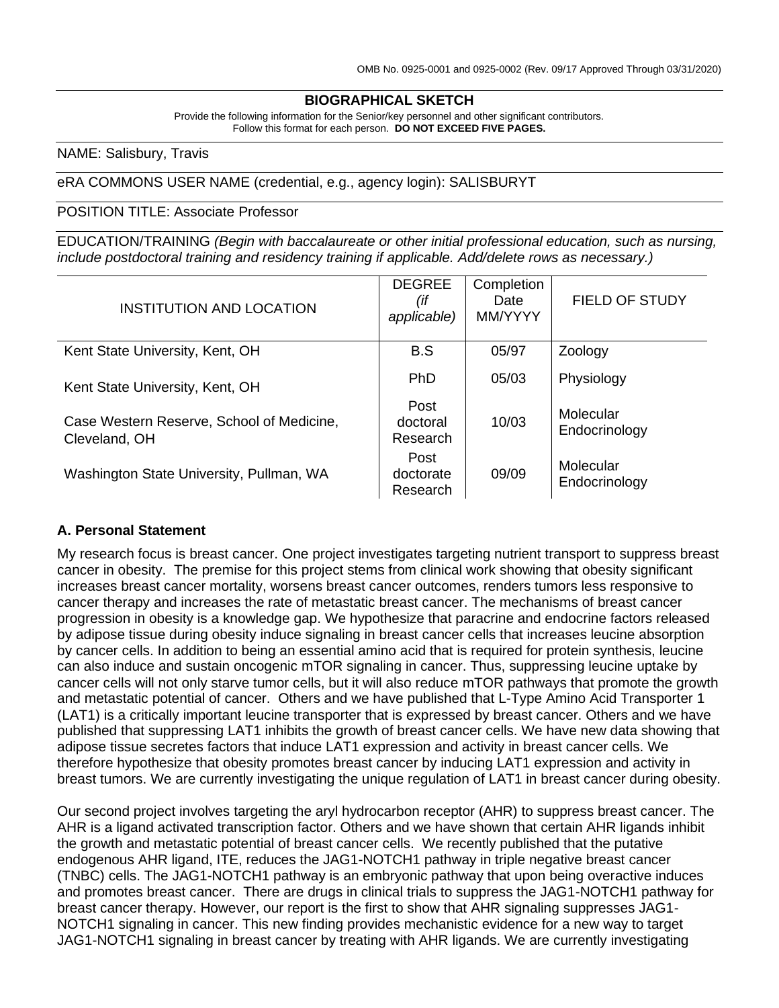#### **BIOGRAPHICAL SKETCH**

Provide the following information for the Senior/key personnel and other significant contributors. Follow this format for each person. **DO NOT EXCEED FIVE PAGES.**

NAME: Salisbury, Travis

eRA COMMONS USER NAME (credential, e.g., agency login): SALISBURYT

POSITION TITLE: Associate Professor

EDUCATION/TRAINING *(Begin with baccalaureate or other initial professional education, such as nursing, include postdoctoral training and residency training if applicable. Add/delete rows as necessary.)*

| <b>INSTITUTION AND LOCATION</b>                            | <b>DEGREE</b><br>(if<br>applicable) | Completion<br>Date<br>MM/YYYY | <b>FIELD OF STUDY</b>      |
|------------------------------------------------------------|-------------------------------------|-------------------------------|----------------------------|
| Kent State University, Kent, OH                            | B.S                                 | 05/97                         | Zoology                    |
| Kent State University, Kent, OH                            | <b>PhD</b>                          | 05/03                         | Physiology                 |
| Case Western Reserve, School of Medicine,<br>Cleveland, OH | Post<br>doctoral<br>Research        | 10/03                         | Molecular<br>Endocrinology |
| Washington State University, Pullman, WA                   | Post<br>doctorate<br>Research       | 09/09                         | Molecular<br>Endocrinology |

#### **A. Personal Statement**

My research focus is breast cancer. One project investigates targeting nutrient transport to suppress breast cancer in obesity. The premise for this project stems from clinical work showing that obesity significant increases breast cancer mortality, worsens breast cancer outcomes, renders tumors less responsive to cancer therapy and increases the rate of metastatic breast cancer. The mechanisms of breast cancer progression in obesity is a knowledge gap. We hypothesize that paracrine and endocrine factors released by adipose tissue during obesity induce signaling in breast cancer cells that increases leucine absorption by cancer cells. In addition to being an essential amino acid that is required for protein synthesis, leucine can also induce and sustain oncogenic mTOR signaling in cancer. Thus, suppressing leucine uptake by cancer cells will not only starve tumor cells, but it will also reduce mTOR pathways that promote the growth and metastatic potential of cancer. Others and we have published that L-Type Amino Acid Transporter 1 (LAT1) is a critically important leucine transporter that is expressed by breast cancer. Others and we have published that suppressing LAT1 inhibits the growth of breast cancer cells. We have new data showing that adipose tissue secretes factors that induce LAT1 expression and activity in breast cancer cells. We therefore hypothesize that obesity promotes breast cancer by inducing LAT1 expression and activity in breast tumors. We are currently investigating the unique regulation of LAT1 in breast cancer during obesity.

Our second project involves targeting the aryl hydrocarbon receptor (AHR) to suppress breast cancer. The AHR is a ligand activated transcription factor. Others and we have shown that certain AHR ligands inhibit the growth and metastatic potential of breast cancer cells. We recently published that the putative endogenous AHR ligand, ITE, reduces the JAG1-NOTCH1 pathway in triple negative breast cancer (TNBC) cells. The JAG1-NOTCH1 pathway is an embryonic pathway that upon being overactive induces and promotes breast cancer. There are drugs in clinical trials to suppress the JAG1-NOTCH1 pathway for breast cancer therapy. However, our report is the first to show that AHR signaling suppresses JAG1- NOTCH1 signaling in cancer. This new finding provides mechanistic evidence for a new way to target JAG1-NOTCH1 signaling in breast cancer by treating with AHR ligands. We are currently investigating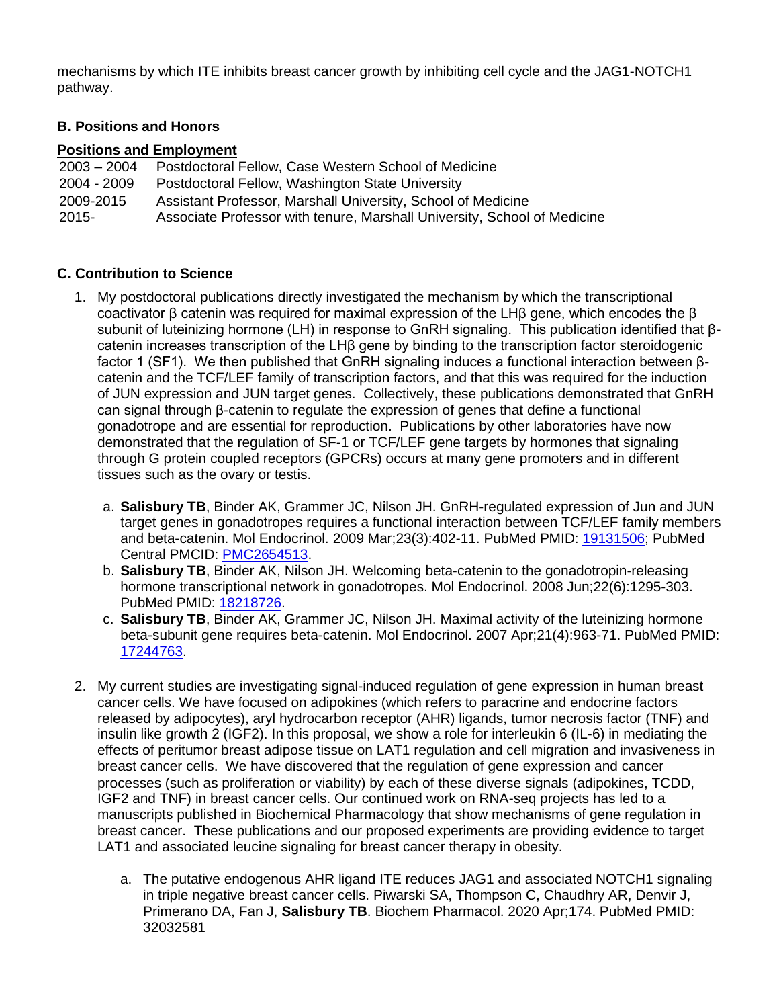mechanisms by which ITE inhibits breast cancer growth by inhibiting cell cycle and the JAG1-NOTCH1 pathway.

# **B. Positions and Honors**

### **Positions and Employment**

| $2003 - 2004$ | Postdoctoral Fellow, Case Western School of Medicine                     |
|---------------|--------------------------------------------------------------------------|
| 2004 - 2009   | Postdoctoral Fellow, Washington State University                         |
| 2009-2015     | Assistant Professor, Marshall University, School of Medicine             |
| 2015-         | Associate Professor with tenure, Marshall University, School of Medicine |

## **C. Contribution to Science**

- 1. My postdoctoral publications directly investigated the mechanism by which the transcriptional coactivator β catenin was required for maximal expression of the LHβ gene, which encodes the β subunit of luteinizing hormone (LH) in response to GnRH signaling. This publication identified that βcatenin increases transcription of the LHβ gene by binding to the transcription factor steroidogenic factor 1 (SF1). We then published that GnRH signaling induces a functional interaction between βcatenin and the TCF/LEF family of transcription factors, and that this was required for the induction of JUN expression and JUN target genes. Collectively, these publications demonstrated that GnRH can signal through β-catenin to regulate the expression of genes that define a functional gonadotrope and are essential for reproduction. Publications by other laboratories have now demonstrated that the regulation of SF-1 or TCF/LEF gene targets by hormones that signaling through G protein coupled receptors (GPCRs) occurs at many gene promoters and in different tissues such as the ovary or testis.
	- a. **Salisbury TB**, Binder AK, Grammer JC, Nilson JH. GnRH-regulated expression of Jun and JUN target genes in gonadotropes requires a functional interaction between TCF/LEF family members and beta-catenin. Mol Endocrinol. 2009 Mar;23(3):402-11. PubMed PMID: [19131506;](http://www.ncbi.nlm.nih.gov/pubmed/19131506/) PubMed Central PMCID: [PMC2654513.](http://www.ncbi.nlm.nih.gov/pmc/articles/PMC2654513/)
	- b. **Salisbury TB**, Binder AK, Nilson JH. Welcoming beta-catenin to the gonadotropin-releasing hormone transcriptional network in gonadotropes. Mol Endocrinol. 2008 Jun;22(6):1295-303. PubMed PMID: [18218726.](http://www.ncbi.nlm.nih.gov/pubmed/18218726/)
	- c. **Salisbury TB**, Binder AK, Grammer JC, Nilson JH. Maximal activity of the luteinizing hormone beta-subunit gene requires beta-catenin. Mol Endocrinol. 2007 Apr;21(4):963-71. PubMed PMID: [17244763.](http://www.ncbi.nlm.nih.gov/pubmed/17244763/)
- 2. My current studies are investigating signal-induced regulation of gene expression in human breast cancer cells. We have focused on adipokines (which refers to paracrine and endocrine factors released by adipocytes), aryl hydrocarbon receptor (AHR) ligands, tumor necrosis factor (TNF) and insulin like growth 2 (IGF2). In this proposal, we show a role for interleukin 6 (IL-6) in mediating the effects of peritumor breast adipose tissue on LAT1 regulation and cell migration and invasiveness in breast cancer cells. We have discovered that the regulation of gene expression and cancer processes (such as proliferation or viability) by each of these diverse signals (adipokines, TCDD, IGF2 and TNF) in breast cancer cells. Our continued work on RNA-seq projects has led to a manuscripts published in Biochemical Pharmacology that show mechanisms of gene regulation in breast cancer. These publications and our proposed experiments are providing evidence to target LAT1 and associated leucine signaling for breast cancer therapy in obesity.
	- a. The putative endogenous AHR ligand ITE reduces JAG1 and associated NOTCH1 signaling in triple negative breast cancer cells. Piwarski SA, Thompson C, Chaudhry AR, Denvir J, Primerano DA, Fan J, **Salisbury TB**. Biochem Pharmacol. 2020 Apr;174. PubMed PMID: 32032581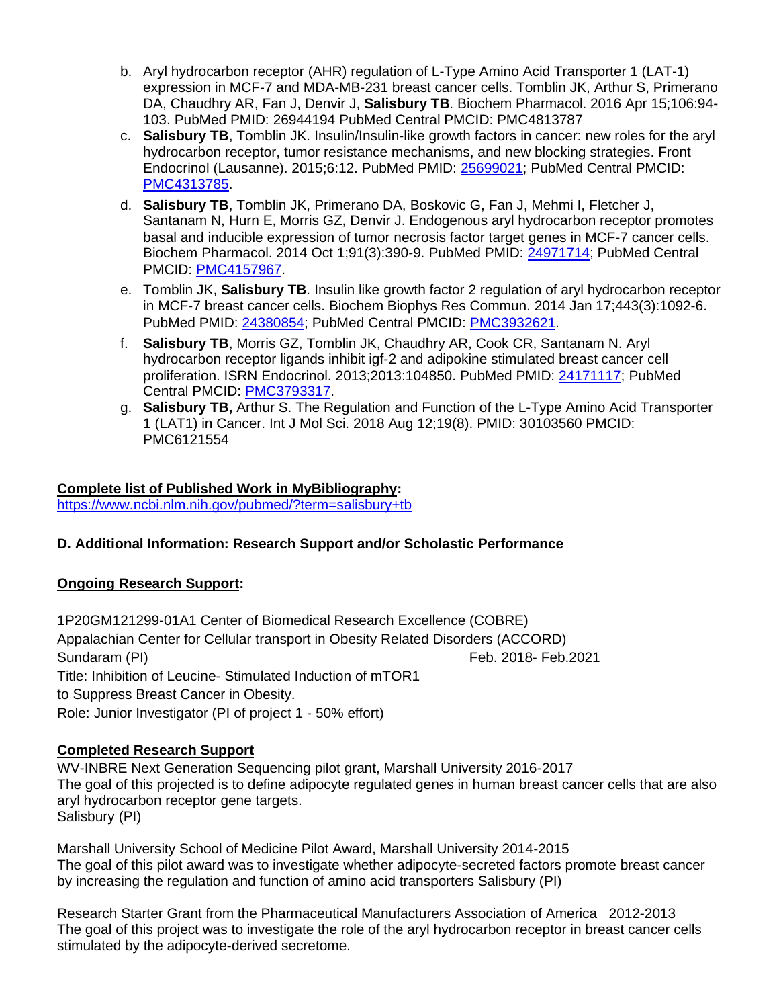- b. Aryl hydrocarbon receptor (AHR) regulation of L-Type Amino Acid Transporter 1 (LAT-1) expression in MCF-7 and MDA-MB-231 breast cancer cells. Tomblin JK, Arthur S, Primerano DA, Chaudhry AR, Fan J, Denvir J, **Salisbury TB**. Biochem Pharmacol. 2016 Apr 15;106:94- 103. PubMed PMID: 26944194 PubMed Central PMCID: PMC4813787
- c. **Salisbury TB**, Tomblin JK. Insulin/Insulin-like growth factors in cancer: new roles for the aryl hydrocarbon receptor, tumor resistance mechanisms, and new blocking strategies. Front Endocrinol (Lausanne). 2015;6:12. PubMed PMID: [25699021;](http://www.ncbi.nlm.nih.gov/pubmed/25699021/) PubMed Central PMCID: [PMC4313785.](http://www.ncbi.nlm.nih.gov/pmc/articles/PMC4313785/)
- d. **Salisbury TB**, Tomblin JK, Primerano DA, Boskovic G, Fan J, Mehmi I, Fletcher J, Santanam N, Hurn E, Morris GZ, Denvir J. Endogenous aryl hydrocarbon receptor promotes basal and inducible expression of tumor necrosis factor target genes in MCF-7 cancer cells. Biochem Pharmacol. 2014 Oct 1;91(3):390-9. PubMed PMID: [24971714;](http://www.ncbi.nlm.nih.gov/pubmed/24971714/) PubMed Central PMCID: [PMC4157967.](http://www.ncbi.nlm.nih.gov/pmc/articles/PMC4157967/)
- e. Tomblin JK, **Salisbury TB**. Insulin like growth factor 2 regulation of aryl hydrocarbon receptor in MCF-7 breast cancer cells. Biochem Biophys Res Commun. 2014 Jan 17;443(3):1092-6. PubMed PMID: [24380854;](http://www.ncbi.nlm.nih.gov/pubmed/24380854/) PubMed Central PMCID: [PMC3932621.](http://www.ncbi.nlm.nih.gov/pmc/articles/PMC3932621/)
- f. **Salisbury TB**, Morris GZ, Tomblin JK, Chaudhry AR, Cook CR, Santanam N. Aryl hydrocarbon receptor ligands inhibit igf-2 and adipokine stimulated breast cancer cell proliferation. ISRN Endocrinol. 2013;2013:104850. PubMed PMID: [24171117;](http://www.ncbi.nlm.nih.gov/pubmed/24171117/) PubMed Central PMCID: [PMC3793317.](http://www.ncbi.nlm.nih.gov/pmc/articles/PMC3793317/)
- g. **Salisbury TB,** Arthur S. The Regulation and Function of the L-Type Amino Acid Transporter 1 (LAT1) in Cancer. Int J Mol Sci. 2018 Aug 12;19(8). PMID: 30103560 PMCID: PMC6121554

## **Complete list of Published Work in MyBibliography:**

<https://www.ncbi.nlm.nih.gov/pubmed/?term=salisbury+tb>

# **D. Additional Information: Research Support and/or Scholastic Performance**

### **Ongoing Research Support:**

1P20GM121299-01A1 Center of Biomedical Research Excellence (COBRE) Appalachian Center for Cellular transport in Obesity Related Disorders (ACCORD) Sundaram (PI) Feb. 2018- Feb. 2021 Title: Inhibition of Leucine- Stimulated Induction of mTOR1 to Suppress Breast Cancer in Obesity. Role: Junior Investigator (PI of project 1 - 50% effort)

### **Completed Research Support**

WV-INBRE Next Generation Sequencing pilot grant, Marshall University 2016-2017 The goal of this projected is to define adipocyte regulated genes in human breast cancer cells that are also aryl hydrocarbon receptor gene targets. Salisbury (PI)

Marshall University School of Medicine Pilot Award, Marshall University 2014-2015 The goal of this pilot award was to investigate whether adipocyte-secreted factors promote breast cancer by increasing the regulation and function of amino acid transporters Salisbury (PI)

Research Starter Grant from the Pharmaceutical Manufacturers Association of America 2012-2013 The goal of this project was to investigate the role of the aryl hydrocarbon receptor in breast cancer cells stimulated by the adipocyte-derived secretome.